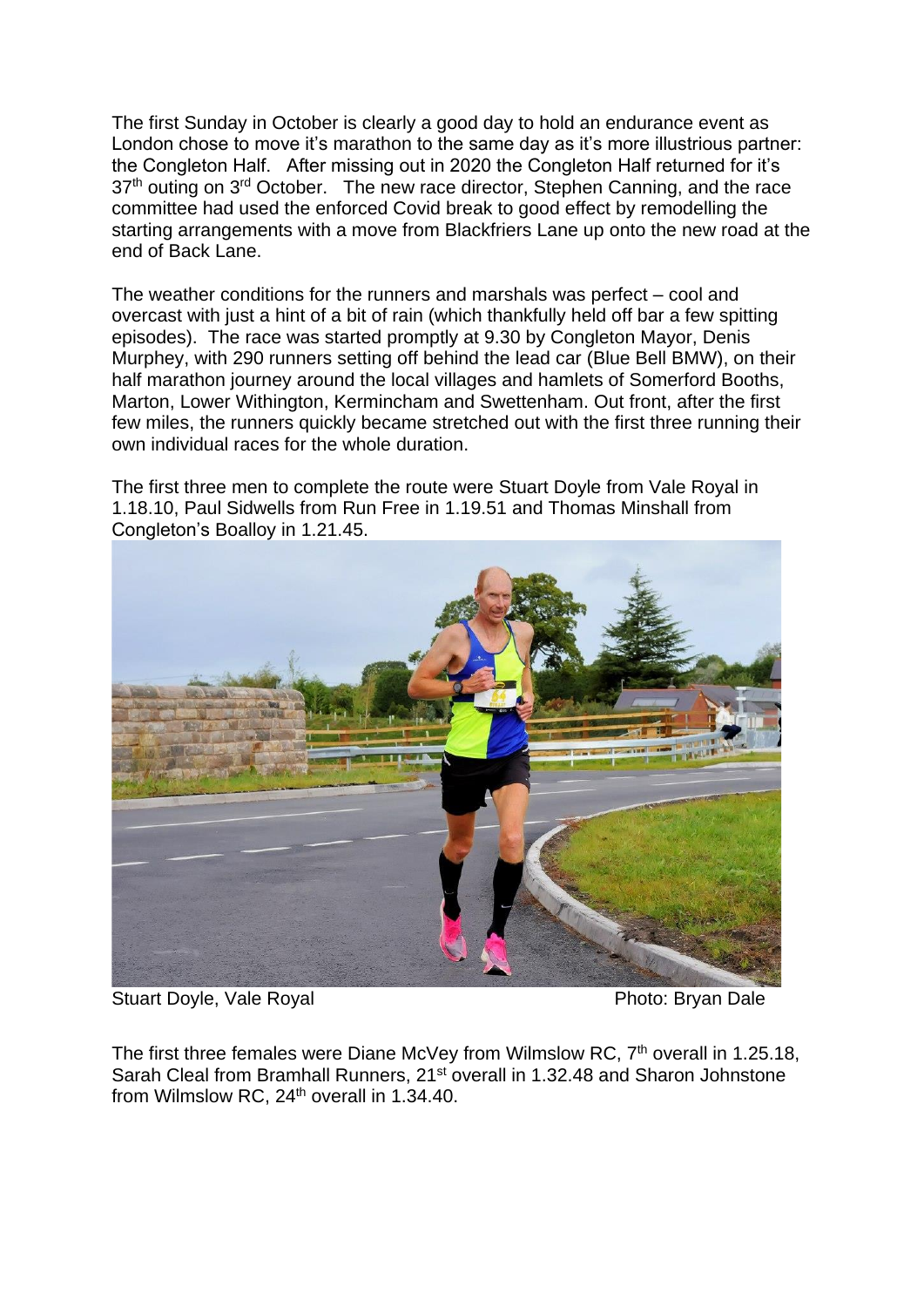The first Sunday in October is clearly a good day to hold an endurance event as London chose to move it's marathon to the same day as it's more illustrious partner: the Congleton Half. After missing out in 2020 the Congleton Half returned for it's 37<sup>th</sup> outing on 3<sup>rd</sup> October. The new race director, Stephen Canning, and the race committee had used the enforced Covid break to good effect by remodelling the starting arrangements with a move from Blackfriers Lane up onto the new road at the end of Back Lane.

The weather conditions for the runners and marshals was perfect – cool and overcast with just a hint of a bit of rain (which thankfully held off bar a few spitting episodes). The race was started promptly at 9.30 by Congleton Mayor, Denis Murphey, with 290 runners setting off behind the lead car (Blue Bell BMW), on their half marathon journey around the local villages and hamlets of Somerford Booths, Marton, Lower Withington, Kermincham and Swettenham. Out front, after the first few miles, the runners quickly became stretched out with the first three running their own individual races for the whole duration.

Congleton's Boalloy in 1.21.45.

The first three men to complete the route were Stuart Doyle from Vale Royal in 1.18.10, Paul Sidwells from Run Free in 1.19.51 and Thomas Minshall from

Stuart Doyle, Vale Royal **Photo: Bryan Dale** 

The first three females were Diane McVey from Wilmslow RC,  $7<sup>th</sup>$  overall in 1.25.18, Sarah Cleal from Bramhall Runners, 21<sup>st</sup> overall in 1.32.48 and Sharon Johnstone from Wilmslow RC, 24<sup>th</sup> overall in 1.34.40.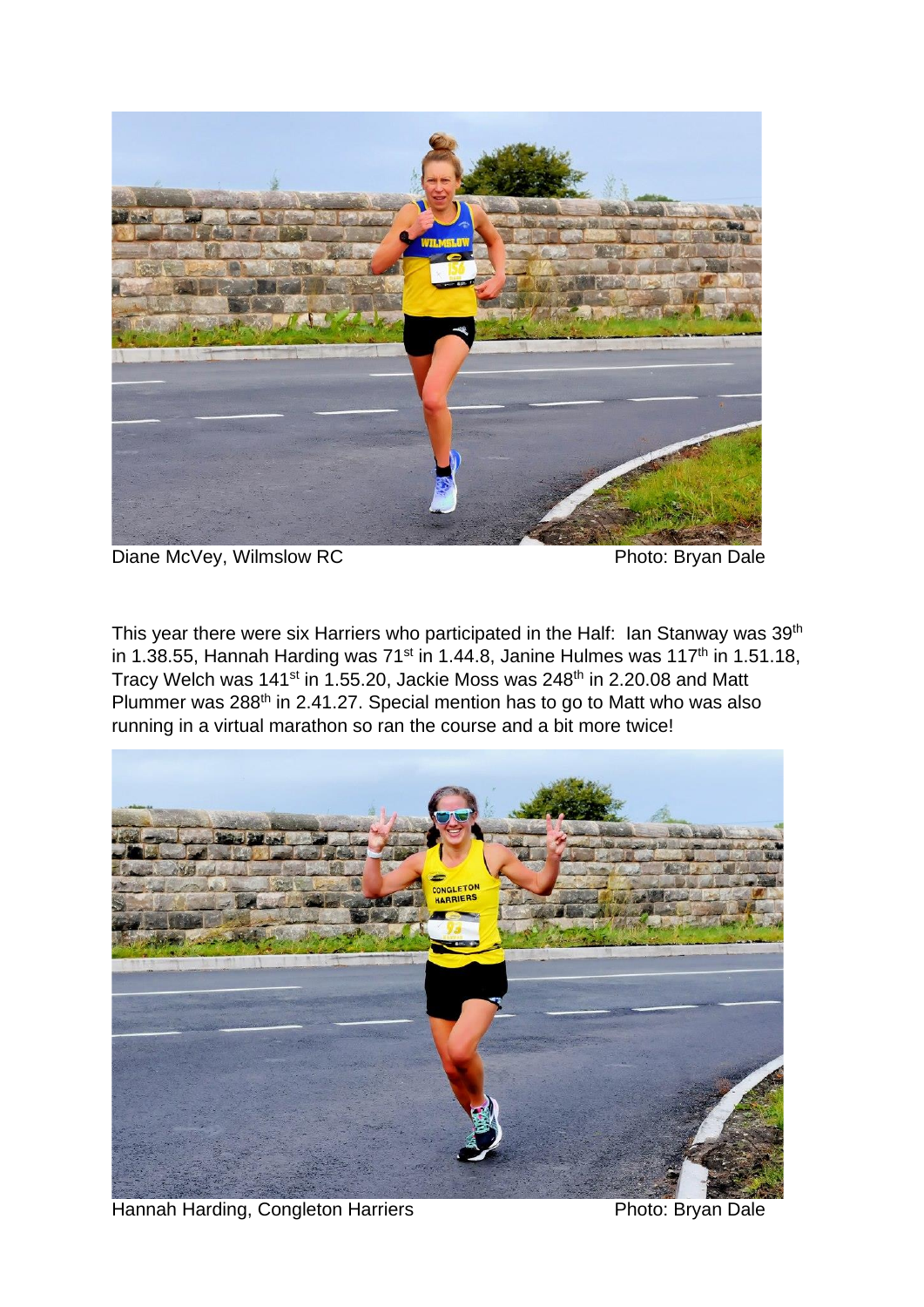

Diane McVey, Wilmslow RC Photo: Bryan Dale

This year there were six Harriers who participated in the Half: Ian Stanway was 39<sup>th</sup> in 1.38.55, Hannah Harding was  $71<sup>st</sup>$  in 1.44.8, Janine Hulmes was  $117<sup>th</sup>$  in 1.51.18, Tracy Welch was 141<sup>st</sup> in 1.55.20, Jackie Moss was 248<sup>th</sup> in 2.20.08 and Matt Plummer was 288th in 2.41.27. Special mention has to go to Matt who was also running in a virtual marathon so ran the course and a bit more twice!



Hannah Harding, Congleton Harriers Photo: Bryan Dale